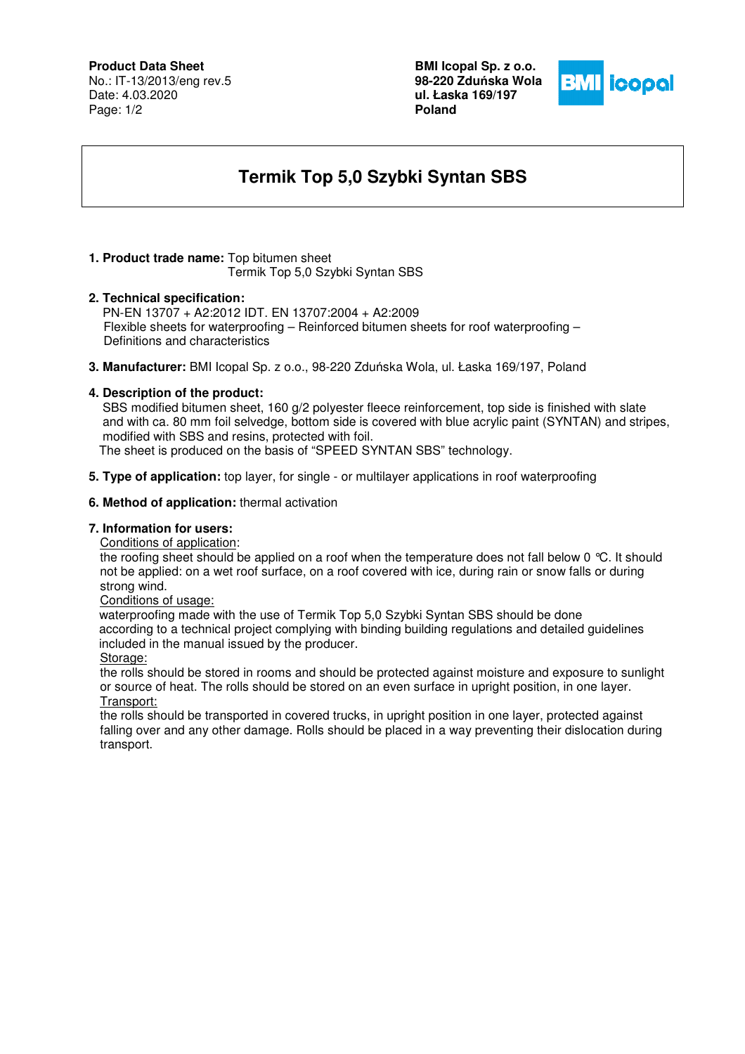## **Product Data Sheet**

No.: IT-13/2013/eng rev.5 Date: 4.03.2020 Page: 1/2

**BMI Icopal Sp. z o.o. 98-220 Zdu**ń**ska Wola ul. Łaska 169/197 Poland** 



# **Termik Top 5,0 Szybki Syntan SBS**

## **1. Product trade name:** Top bitumen sheet

Termik Top 5,0 Szybki Syntan SBS

## **2. Technical specification:**

PN-EN 13707 + A2:2012 IDT. EN 13707:2004 + A2:2009 Flexible sheets for waterproofing – Reinforced bitumen sheets for roof waterproofing – Definitions and characteristics

**3. Manufacturer:** BMI Icopal Sp. z o.o., 98-220 Zduńska Wola, ul. Łaska 169/197, Poland

#### **4. Description of the product:**

 SBS modified bitumen sheet, 160 g/2 polyester fleece reinforcement, top side is finished with slate and with ca. 80 mm foil selvedge, bottom side is covered with blue acrylic paint (SYNTAN) and stripes, modified with SBS and resins, protected with foil.

The sheet is produced on the basis of "SPEED SYNTAN SBS" technology.

**5. Type of application:** top layer, for single - or multilayer applications in roof waterproofing

#### **6. Method of application:** thermal activation

## **7. Information for users:**

Conditions of application:

the roofing sheet should be applied on a roof when the temperature does not fall below 0 °C. It should not be applied: on a wet roof surface, on a roof covered with ice, during rain or snow falls or during strong wind.

#### Conditions of usage:

 waterproofing made with the use of Termik Top 5,0 Szybki Syntan SBS should be done according to a technical project complying with binding building regulations and detailed guidelines included in the manual issued by the producer.

Storage:

the rolls should be stored in rooms and should be protected against moisture and exposure to sunlight or source of heat. The rolls should be stored on an even surface in upright position, in one layer. Transport:

the rolls should be transported in covered trucks, in upright position in one layer, protected against falling over and any other damage. Rolls should be placed in a way preventing their dislocation during transport.